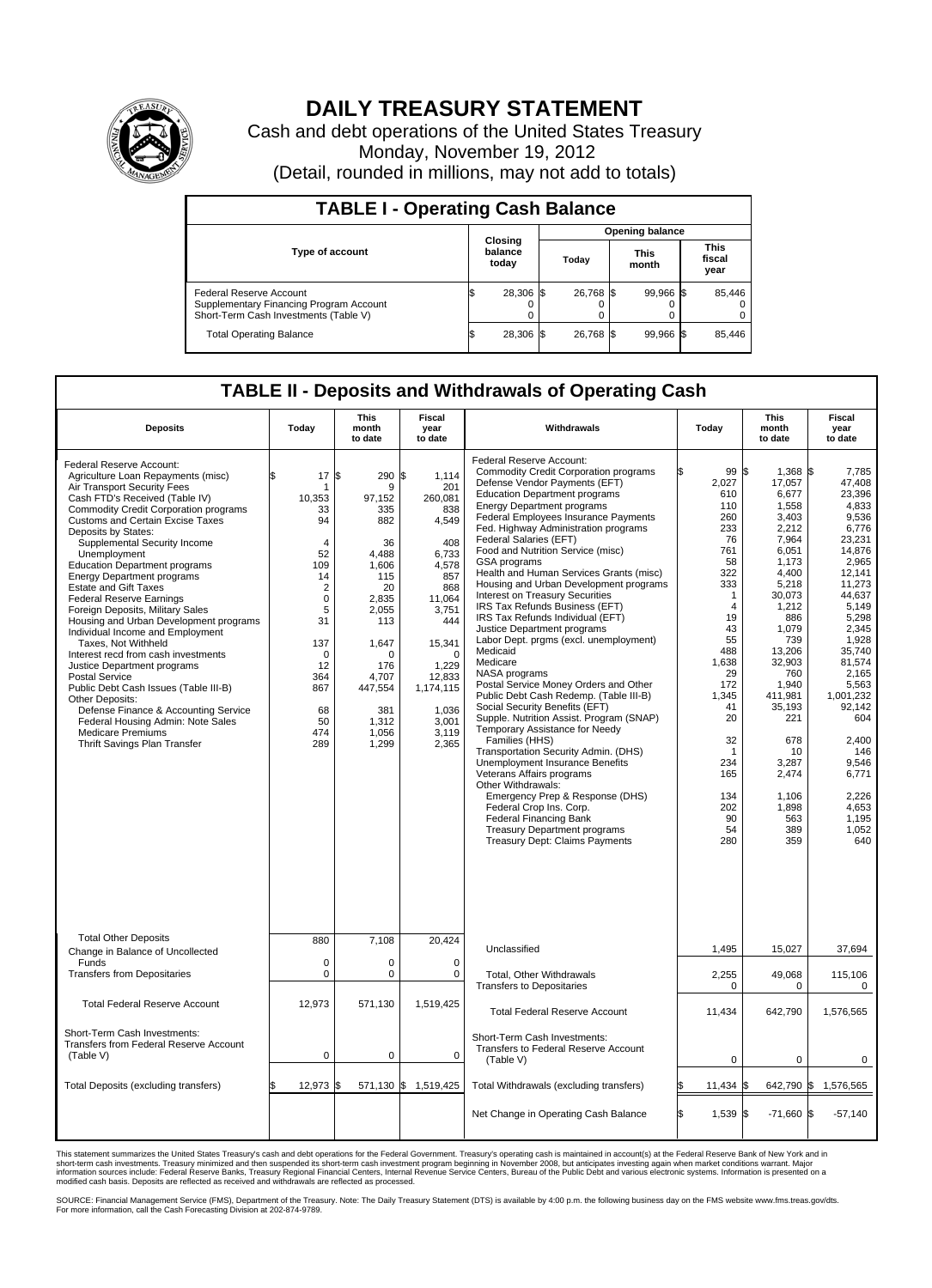

## **DAILY TREASURY STATEMENT**

Cash and debt operations of the United States Treasury Monday, November 19, 2012 (Detail, rounded in millions, may not add to totals)

| <b>TABLE I - Operating Cash Balance</b>                                                                     |                             |           |                 |                               |  |  |  |  |  |  |  |  |
|-------------------------------------------------------------------------------------------------------------|-----------------------------|-----------|-----------------|-------------------------------|--|--|--|--|--|--|--|--|
|                                                                                                             |                             |           | Opening balance |                               |  |  |  |  |  |  |  |  |
| <b>Type of account</b>                                                                                      | Closing<br>balance<br>today | Todav     | This<br>month   | <b>This</b><br>fiscal<br>year |  |  |  |  |  |  |  |  |
| Federal Reserve Account<br>Supplementary Financing Program Account<br>Short-Term Cash Investments (Table V) | 28,306 \$                   | 26,768 \$ | 99.966 \$       | 85,446<br>$^{(1)}$<br>0       |  |  |  |  |  |  |  |  |
| <b>Total Operating Balance</b>                                                                              | 28,306                      | 26.768 \$ | 99,966 \$       | 85.446                        |  |  |  |  |  |  |  |  |

## **TABLE II - Deposits and Withdrawals of Operating Cash**

| <b>Deposits</b>                                                                                                                                                                                                                                                                                                                                                                                                                                                                                                                                                                                                                                                                                                                                                                                                                                                                                | Today                                                                                                                                                                                  | <b>This</b><br>month<br>to date                                                                                                                                                        | Fiscal<br>year<br>to date                                                                                                                                                                                | Withdrawals                                                                                                                                                                                                                                                                                                                                                                                                                                                                                                                                                                                                                                                                                                                                                                                                                                                                                                                                                                                                                                                                                                                                                                                             | Today                                                                                                                                                                                                                                       | <b>This</b><br>month<br>to date                                                                                                                                                                                                                                                     | Fiscal<br>year<br>to date                                                                                                                                                                                                                                                                            |  |  |  |  |
|------------------------------------------------------------------------------------------------------------------------------------------------------------------------------------------------------------------------------------------------------------------------------------------------------------------------------------------------------------------------------------------------------------------------------------------------------------------------------------------------------------------------------------------------------------------------------------------------------------------------------------------------------------------------------------------------------------------------------------------------------------------------------------------------------------------------------------------------------------------------------------------------|----------------------------------------------------------------------------------------------------------------------------------------------------------------------------------------|----------------------------------------------------------------------------------------------------------------------------------------------------------------------------------------|----------------------------------------------------------------------------------------------------------------------------------------------------------------------------------------------------------|---------------------------------------------------------------------------------------------------------------------------------------------------------------------------------------------------------------------------------------------------------------------------------------------------------------------------------------------------------------------------------------------------------------------------------------------------------------------------------------------------------------------------------------------------------------------------------------------------------------------------------------------------------------------------------------------------------------------------------------------------------------------------------------------------------------------------------------------------------------------------------------------------------------------------------------------------------------------------------------------------------------------------------------------------------------------------------------------------------------------------------------------------------------------------------------------------------|---------------------------------------------------------------------------------------------------------------------------------------------------------------------------------------------------------------------------------------------|-------------------------------------------------------------------------------------------------------------------------------------------------------------------------------------------------------------------------------------------------------------------------------------|------------------------------------------------------------------------------------------------------------------------------------------------------------------------------------------------------------------------------------------------------------------------------------------------------|--|--|--|--|
| Federal Reserve Account:<br>Agriculture Loan Repayments (misc)<br>Air Transport Security Fees<br>Cash FTD's Received (Table IV)<br><b>Commodity Credit Corporation programs</b><br><b>Customs and Certain Excise Taxes</b><br>Deposits by States:<br>Supplemental Security Income<br>Unemployment<br><b>Education Department programs</b><br><b>Energy Department programs</b><br><b>Estate and Gift Taxes</b><br><b>Federal Reserve Earnings</b><br>Foreign Deposits, Military Sales<br>Housing and Urban Development programs<br>Individual Income and Employment<br>Taxes, Not Withheld<br>Interest recd from cash investments<br>Justice Department programs<br><b>Postal Service</b><br>Public Debt Cash Issues (Table III-B)<br>Other Deposits:<br>Defense Finance & Accounting Service<br>Federal Housing Admin: Note Sales<br><b>Medicare Premiums</b><br>Thrift Savings Plan Transfer | 17<br>\$.<br>1<br>10,353<br>33<br>94<br>$\overline{4}$<br>52<br>109<br>14<br>$\overline{2}$<br>$\mathbf 0$<br>5<br>31<br>137<br>$\Omega$<br>12<br>364<br>867<br>68<br>50<br>474<br>289 | Ŝ.<br>290<br>9<br>97,152<br>335<br>882<br>36<br>4.488<br>1.606<br>115<br>20<br>2,835<br>2,055<br>113<br>1,647<br>$\Omega$<br>176<br>4,707<br>447,554<br>381<br>1,312<br>1,056<br>1,299 | 1,114<br>Α.<br>201<br>260,081<br>838<br>4,549<br>408<br>6.733<br>4.578<br>857<br>868<br>11,064<br>3,751<br>444<br>15,341<br>$\Omega$<br>1,229<br>12,833<br>1,174,115<br>1,036<br>3,001<br>3,119<br>2,365 | Federal Reserve Account:<br><b>Commodity Credit Corporation programs</b><br>Defense Vendor Payments (EFT)<br><b>Education Department programs</b><br><b>Energy Department programs</b><br>Federal Employees Insurance Payments<br>Fed. Highway Administration programs<br>Federal Salaries (EFT)<br>Food and Nutrition Service (misc)<br>GSA programs<br>Health and Human Services Grants (misc)<br>Housing and Urban Development programs<br><b>Interest on Treasury Securities</b><br>IRS Tax Refunds Business (EFT)<br>IRS Tax Refunds Individual (EFT)<br>Justice Department programs<br>Labor Dept. prgms (excl. unemployment)<br>Medicaid<br>Medicare<br>NASA programs<br>Postal Service Money Orders and Other<br>Public Debt Cash Redemp. (Table III-B)<br>Social Security Benefits (EFT)<br>Supple. Nutrition Assist. Program (SNAP)<br>Temporary Assistance for Needy<br>Families (HHS)<br>Transportation Security Admin. (DHS)<br>Unemployment Insurance Benefits<br>Veterans Affairs programs<br>Other Withdrawals:<br>Emergency Prep & Response (DHS)<br>Federal Crop Ins. Corp.<br><b>Federal Financing Bank</b><br><b>Treasury Department programs</b><br>Treasury Dept: Claims Payments | 99 \$<br>2,027<br>610<br>110<br>260<br>233<br>76<br>761<br>58<br>322<br>333<br>$\mathbf{1}$<br>$\overline{4}$<br>19<br>43<br>55<br>488<br>1,638<br>29<br>172<br>1,345<br>41<br>20<br>32<br>1<br>234<br>165<br>134<br>202<br>90<br>54<br>280 | 1,368 \$<br>17,057<br>6,677<br>1,558<br>3,403<br>2,212<br>7,964<br>6,051<br>1,173<br>4.400<br>5,218<br>30,073<br>1,212<br>886<br>1,079<br>739<br>13,206<br>32,903<br>760<br>1,940<br>411.981<br>35,193<br>221<br>678<br>10<br>3,287<br>2,474<br>1,106<br>1,898<br>563<br>389<br>359 | 7,785<br>47.408<br>23,396<br>4,833<br>9.536<br>6,776<br>23,231<br>14,876<br>2,965<br>12.141<br>11,273<br>44.637<br>5,149<br>5.298<br>2,345<br>1,928<br>35,740<br>81.574<br>2,165<br>5,563<br>1.001.232<br>92,142<br>604<br>2,400<br>146<br>9,546<br>6,771<br>2,226<br>4,653<br>1,195<br>1,052<br>640 |  |  |  |  |
| <b>Total Other Deposits</b><br>Change in Balance of Uncollected                                                                                                                                                                                                                                                                                                                                                                                                                                                                                                                                                                                                                                                                                                                                                                                                                                | 880                                                                                                                                                                                    | 7.108                                                                                                                                                                                  | 20,424                                                                                                                                                                                                   | Unclassified                                                                                                                                                                                                                                                                                                                                                                                                                                                                                                                                                                                                                                                                                                                                                                                                                                                                                                                                                                                                                                                                                                                                                                                            | 1,495                                                                                                                                                                                                                                       | 15,027                                                                                                                                                                                                                                                                              | 37,694                                                                                                                                                                                                                                                                                               |  |  |  |  |
| Funds<br><b>Transfers from Depositaries</b>                                                                                                                                                                                                                                                                                                                                                                                                                                                                                                                                                                                                                                                                                                                                                                                                                                                    | $\mathbf 0$<br>0                                                                                                                                                                       | 0<br>$\mathbf 0$                                                                                                                                                                       | $\Omega$<br>$\mathbf 0$                                                                                                                                                                                  | Total, Other Withdrawals<br><b>Transfers to Depositaries</b>                                                                                                                                                                                                                                                                                                                                                                                                                                                                                                                                                                                                                                                                                                                                                                                                                                                                                                                                                                                                                                                                                                                                            | 2,255<br>0                                                                                                                                                                                                                                  | 49,068<br>0                                                                                                                                                                                                                                                                         | 115,106<br>0                                                                                                                                                                                                                                                                                         |  |  |  |  |
| <b>Total Federal Reserve Account</b>                                                                                                                                                                                                                                                                                                                                                                                                                                                                                                                                                                                                                                                                                                                                                                                                                                                           | 12.973                                                                                                                                                                                 | 571,130                                                                                                                                                                                | 1.519.425                                                                                                                                                                                                | <b>Total Federal Reserve Account</b>                                                                                                                                                                                                                                                                                                                                                                                                                                                                                                                                                                                                                                                                                                                                                                                                                                                                                                                                                                                                                                                                                                                                                                    | 11,434                                                                                                                                                                                                                                      | 642,790                                                                                                                                                                                                                                                                             | 1,576,565                                                                                                                                                                                                                                                                                            |  |  |  |  |
| Short-Term Cash Investments:<br>Transfers from Federal Reserve Account<br>(Table V)                                                                                                                                                                                                                                                                                                                                                                                                                                                                                                                                                                                                                                                                                                                                                                                                            | $\mathbf 0$                                                                                                                                                                            | $\mathbf 0$                                                                                                                                                                            | $\mathbf 0$                                                                                                                                                                                              | Short-Term Cash Investments:<br>Transfers to Federal Reserve Account<br>(Table V)                                                                                                                                                                                                                                                                                                                                                                                                                                                                                                                                                                                                                                                                                                                                                                                                                                                                                                                                                                                                                                                                                                                       | $\mathbf 0$                                                                                                                                                                                                                                 | 0                                                                                                                                                                                                                                                                                   | 0                                                                                                                                                                                                                                                                                                    |  |  |  |  |
| Total Deposits (excluding transfers)                                                                                                                                                                                                                                                                                                                                                                                                                                                                                                                                                                                                                                                                                                                                                                                                                                                           | 12,973 \$                                                                                                                                                                              |                                                                                                                                                                                        | 571,130 \$ 1,519,425                                                                                                                                                                                     | Total Withdrawals (excluding transfers)                                                                                                                                                                                                                                                                                                                                                                                                                                                                                                                                                                                                                                                                                                                                                                                                                                                                                                                                                                                                                                                                                                                                                                 | 11,434                                                                                                                                                                                                                                      | 642,790 \$                                                                                                                                                                                                                                                                          | 1,576,565                                                                                                                                                                                                                                                                                            |  |  |  |  |
|                                                                                                                                                                                                                                                                                                                                                                                                                                                                                                                                                                                                                                                                                                                                                                                                                                                                                                |                                                                                                                                                                                        |                                                                                                                                                                                        |                                                                                                                                                                                                          | Net Change in Operating Cash Balance                                                                                                                                                                                                                                                                                                                                                                                                                                                                                                                                                                                                                                                                                                                                                                                                                                                                                                                                                                                                                                                                                                                                                                    | $1,539$ \$<br>l\$                                                                                                                                                                                                                           | $-71,660$ \$                                                                                                                                                                                                                                                                        | $-57,140$                                                                                                                                                                                                                                                                                            |  |  |  |  |

This statement summarizes the United States Treasury's cash and debt operations for the Federal Government. Treasury's operating cash is maintained in account(s) at the Federal Reserve Bank of New York and in<br>short-term ca

SOURCE: Financial Management Service (FMS), Department of the Treasury. Note: The Daily Treasury Statement (DTS) is available by 4:00 p.m. the following business day on the FMS website www.fms.treas.gov/dts.<br>For more infor